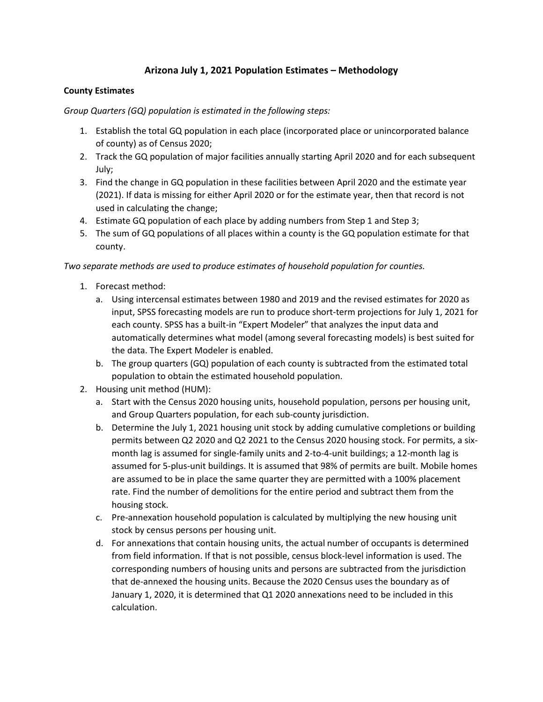## **Arizona July 1, 2021 Population Estimates – Methodology**

## **County Estimates**

*Group Quarters (GQ) population is estimated in the following steps:*

- 1. Establish the total GQ population in each place (incorporated place or unincorporated balance of county) as of Census 2020;
- 2. Track the GQ population of major facilities annually starting April 2020 and for each subsequent July;
- 3. Find the change in GQ population in these facilities between April 2020 and the estimate year (2021). If data is missing for either April 2020 or for the estimate year, then that record is not used in calculating the change;
- 4. Estimate GQ population of each place by adding numbers from Step 1 and Step 3;
- 5. The sum of GQ populations of all places within a county is the GQ population estimate for that county.

*Two separate methods are used to produce estimates of household population for counties.* 

- 1. Forecast method:
	- a. Using intercensal estimates between 1980 and 2019 and the revised estimates for 2020 as input, SPSS forecasting models are run to produce short-term projections for July 1, 2021 for each county. SPSS has a built-in "Expert Modeler" that analyzes the input data and automatically determines what model (among several forecasting models) is best suited for the data. The Expert Modeler is enabled.
	- b. The group quarters (GQ) population of each county is subtracted from the estimated total population to obtain the estimated household population.
- 2. Housing unit method (HUM):
	- a. Start with the Census 2020 housing units, household population, persons per housing unit, and Group Quarters population, for each sub-county jurisdiction.
	- b. Determine the July 1, 2021 housing unit stock by adding cumulative completions or building permits between Q2 2020 and Q2 2021 to the Census 2020 housing stock. For permits, a sixmonth lag is assumed for single-family units and 2-to-4-unit buildings; a 12-month lag is assumed for 5-plus-unit buildings. It is assumed that 98% of permits are built. Mobile homes are assumed to be in place the same quarter they are permitted with a 100% placement rate. Find the number of demolitions for the entire period and subtract them from the housing stock.
	- c. Pre-annexation household population is calculated by multiplying the new housing unit stock by census persons per housing unit.
	- d. For annexations that contain housing units, the actual number of occupants is determined from field information. If that is not possible, census block-level information is used. The corresponding numbers of housing units and persons are subtracted from the jurisdiction that de-annexed the housing units. Because the 2020 Census uses the boundary as of January 1, 2020, it is determined that Q1 2020 annexations need to be included in this calculation.